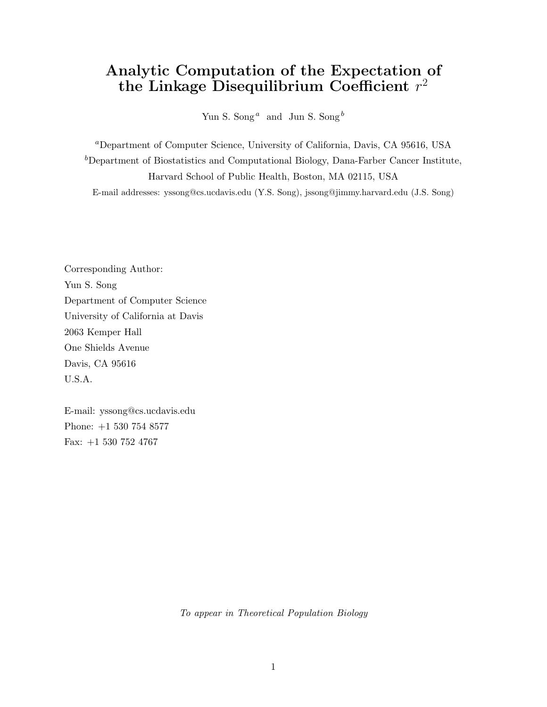# Analytic Computation of the Expectation of the Linkage Disequilibrium Coefficient  $r^2$

Yun S. Song<sup> $a$ </sup> and Jun S. Song<sup> $b$ </sup>

<sup>a</sup>Department of Computer Science, University of California, Davis, CA 95616, USA  $b$ Department of Biostatistics and Computational Biology, Dana-Farber Cancer Institute, Harvard School of Public Health, Boston, MA 02115, USA E-mail addresses: yssong@cs.ucdavis.edu (Y.S. Song), jssong@jimmy.harvard.edu (J.S. Song)

Corresponding Author: Yun S. Song Department of Computer Science University of California at Davis 2063 Kemper Hall One Shields Avenue Davis, CA 95616 U.S.A.

E-mail: yssong@cs.ucdavis.edu Phone: +1 530 754 8577 Fax: +1 530 752 4767

To appear in Theoretical Population Biology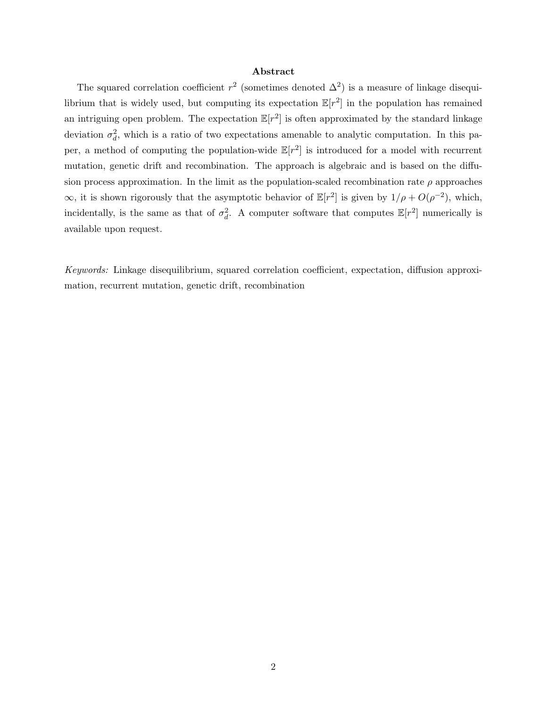#### Abstract

The squared correlation coefficient  $r^2$  (sometimes denoted  $\Delta^2$ ) is a measure of linkage disequilibrium that is widely used, but computing its expectation  $\mathbb{E}[r^2]$  in the population has remained an intriguing open problem. The expectation  $\mathbb{E}[r^2]$  is often approximated by the standard linkage deviation  $\sigma_d^2$ , which is a ratio of two expectations amenable to analytic computation. In this paper, a method of computing the population-wide  $\mathbb{E}[r^2]$  is introduced for a model with recurrent mutation, genetic drift and recombination. The approach is algebraic and is based on the diffusion process approximation. In the limit as the population-scaled recombination rate  $\rho$  approaches  $\infty$ , it is shown rigorously that the asymptotic behavior of  $\mathbb{E}[r^2]$  is given by  $1/\rho + O(\rho^{-2})$ , which, incidentally, is the same as that of  $\sigma_d^2$ . A computer software that computes  $\mathbb{E}[r^2]$  numerically is available upon request.

Keywords: Linkage disequilibrium, squared correlation coefficient, expectation, diffusion approximation, recurrent mutation, genetic drift, recombination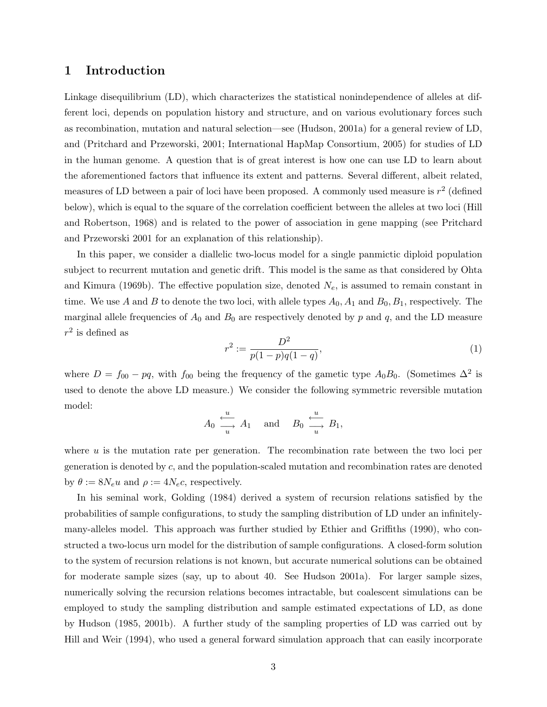### 1 Introduction

Linkage disequilibrium (LD), which characterizes the statistical nonindependence of alleles at different loci, depends on population history and structure, and on various evolutionary forces such as recombination, mutation and natural selection—see (Hudson, 2001a) for a general review of LD, and (Pritchard and Przeworski, 2001; International HapMap Consortium, 2005) for studies of LD in the human genome. A question that is of great interest is how one can use LD to learn about the aforementioned factors that influence its extent and patterns. Several different, albeit related, measures of LD between a pair of loci have been proposed. A commonly used measure is  $r^2$  (defined below), which is equal to the square of the correlation coefficient between the alleles at two loci (Hill and Robertson, 1968) and is related to the power of association in gene mapping (see Pritchard and Przeworski 2001 for an explanation of this relationship).

In this paper, we consider a diallelic two-locus model for a single panmictic diploid population subject to recurrent mutation and genetic drift. This model is the same as that considered by Ohta and Kimura (1969b). The effective population size, denoted  $N_e$ , is assumed to remain constant in time. We use A and B to denote the two loci, with allele types  $A_0$ ,  $A_1$  and  $B_0$ ,  $B_1$ , respectively. The marginal allele frequencies of  $A_0$  and  $B_0$  are respectively denoted by p and q, and the LD measure  $r^2$  is defined as

$$
r^2 := \frac{D^2}{p(1-p)q(1-q)},\tag{1}
$$

where  $D = f_{00} - pq$ , with  $f_{00}$  being the frequency of the gametic type  $A_0B_0$ . (Sometimes  $\Delta^2$  is used to denote the above LD measure.) We consider the following symmetric reversible mutation model:

$$
A_0 \xrightarrow[u \to a_1]
$$
 and  $B_0 \xrightarrow[u \to a_1]$ ,

where  $u$  is the mutation rate per generation. The recombination rate between the two loci per generation is denoted by c, and the population-scaled mutation and recombination rates are denoted by  $\theta := 8N_e u$  and  $\rho := 4N_e c$ , respectively.

In his seminal work, Golding (1984) derived a system of recursion relations satisfied by the probabilities of sample configurations, to study the sampling distribution of LD under an infinitelymany-alleles model. This approach was further studied by Ethier and Griffiths (1990), who constructed a two-locus urn model for the distribution of sample configurations. A closed-form solution to the system of recursion relations is not known, but accurate numerical solutions can be obtained for moderate sample sizes (say, up to about 40. See Hudson 2001a). For larger sample sizes, numerically solving the recursion relations becomes intractable, but coalescent simulations can be employed to study the sampling distribution and sample estimated expectations of LD, as done by Hudson (1985, 2001b). A further study of the sampling properties of LD was carried out by Hill and Weir (1994), who used a general forward simulation approach that can easily incorporate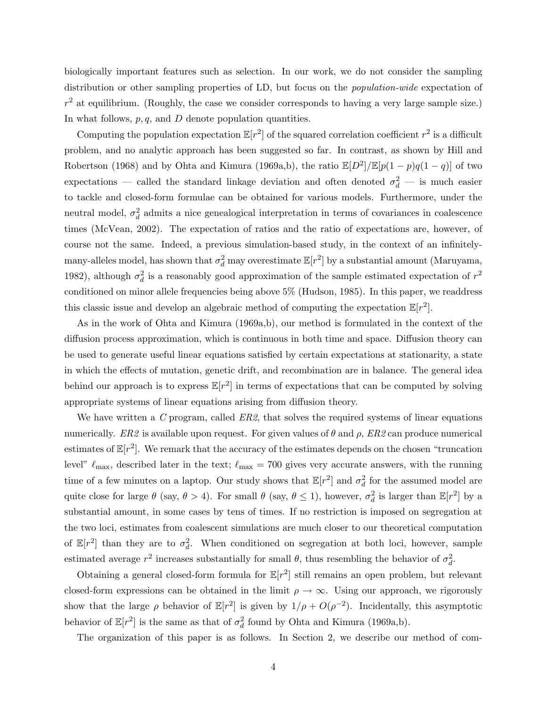biologically important features such as selection. In our work, we do not consider the sampling distribution or other sampling properties of LD, but focus on the *population-wide* expectation of  $r<sup>2</sup>$  at equilibrium. (Roughly, the case we consider corresponds to having a very large sample size.) In what follows,  $p, q$ , and  $D$  denote population quantities.

Computing the population expectation  $\mathbb{E}[r^2]$  of the squared correlation coefficient  $r^2$  is a difficult problem, and no analytic approach has been suggested so far. In contrast, as shown by Hill and Robertson (1968) and by Ohta and Kimura (1969a,b), the ratio  $\mathbb{E}[D^2]/\mathbb{E}[p(1-p)q(1-q)]$  of two expectations — called the standard linkage deviation and often denoted  $\sigma_d^2$  — is much easier to tackle and closed-form formulae can be obtained for various models. Furthermore, under the neutral model,  $\sigma_d^2$  admits a nice genealogical interpretation in terms of covariances in coalescence times (McVean, 2002). The expectation of ratios and the ratio of expectations are, however, of course not the same. Indeed, a previous simulation-based study, in the context of an infinitelymany-alleles model, has shown that  $\sigma_d^2$  may overestimate  $\mathbb{E}[r^2]$  by a substantial amount (Maruyama, 1982), although  $\sigma_d^2$  is a reasonably good approximation of the sample estimated expectation of  $r^2$ conditioned on minor allele frequencies being above 5% (Hudson, 1985). In this paper, we readdress this classic issue and develop an algebraic method of computing the expectation  $\mathbb{E}[r^2]$ .

As in the work of Ohta and Kimura (1969a,b), our method is formulated in the context of the diffusion process approximation, which is continuous in both time and space. Diffusion theory can be used to generate useful linear equations satisfied by certain expectations at stationarity, a state in which the effects of mutation, genetic drift, and recombination are in balance. The general idea behind our approach is to express  $\mathbb{E}[r^2]$  in terms of expectations that can be computed by solving appropriate systems of linear equations arising from diffusion theory.

We have written a  $C$  program, called  $ER2$ , that solves the required systems of linear equations numerically. ER2 is available upon request. For given values of  $\theta$  and  $\rho$ , ER2 can produce numerical estimates of  $\mathbb{E}[r^2]$ . We remark that the accuracy of the estimates depends on the chosen "truncation" level"  $\ell_{\text{max}}$ , described later in the text;  $\ell_{\text{max}} = 700$  gives very accurate answers, with the running time of a few minutes on a laptop. Our study shows that  $\mathbb{E}[r^2]$  and  $\sigma_d^2$  for the assumed model are quite close for large  $\theta$  (say,  $\theta > 4$ ). For small  $\theta$  (say,  $\theta \le 1$ ), however,  $\sigma_d^2$  is larger than  $\mathbb{E}[r^2]$  by a substantial amount, in some cases by tens of times. If no restriction is imposed on segregation at the two loci, estimates from coalescent simulations are much closer to our theoretical computation of  $\mathbb{E}[r^2]$  than they are to  $\sigma_d^2$ . When conditioned on segregation at both loci, however, sample estimated average  $r^2$  increases substantially for small  $\theta$ , thus resembling the behavior of  $\sigma_d^2$ .

Obtaining a general closed-form formula for  $\mathbb{E}[r^2]$  still remains an open problem, but relevant closed-form expressions can be obtained in the limit  $\rho \to \infty$ . Using our approach, we rigorously show that the large  $\rho$  behavior of  $\mathbb{E}[r^2]$  is given by  $1/\rho + O(\rho^{-2})$ . Incidentally, this asymptotic behavior of  $\mathbb{E}[r^2]$  is the same as that of  $\sigma_d^2$  found by Ohta and Kimura (1969a,b).

The organization of this paper is as follows. In Section 2, we describe our method of com-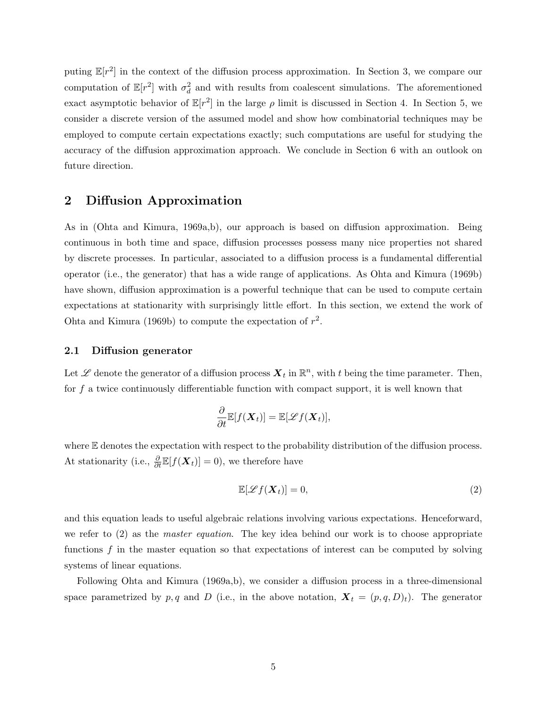puting  $\mathbb{E}[r^2]$  in the context of the diffusion process approximation. In Section 3, we compare our computation of  $\mathbb{E}[r^2]$  with  $\sigma_d^2$  and with results from coalescent simulations. The aforementioned exact asymptotic behavior of  $\mathbb{E}[r^2]$  in the large  $\rho$  limit is discussed in Section 4. In Section 5, we consider a discrete version of the assumed model and show how combinatorial techniques may be employed to compute certain expectations exactly; such computations are useful for studying the accuracy of the diffusion approximation approach. We conclude in Section 6 with an outlook on future direction.

### 2 Diffusion Approximation

As in (Ohta and Kimura, 1969a,b), our approach is based on diffusion approximation. Being continuous in both time and space, diffusion processes possess many nice properties not shared by discrete processes. In particular, associated to a diffusion process is a fundamental differential operator (i.e., the generator) that has a wide range of applications. As Ohta and Kimura (1969b) have shown, diffusion approximation is a powerful technique that can be used to compute certain expectations at stationarity with surprisingly little effort. In this section, we extend the work of Ohta and Kimura (1969b) to compute the expectation of  $r^2$ .

#### 2.1 Diffusion generator

Let  $\mathscr L$  denote the generator of a diffusion process  $\mathbf X_t$  in  $\mathbb R^n$ , with t being the time parameter. Then, for  $f$  a twice continuously differentiable function with compact support, it is well known that

$$
\frac{\partial}{\partial t}\mathbb{E}[f(\boldsymbol{X}_t)] = \mathbb{E}[\mathscr{L}f(\boldsymbol{X}_t)],
$$

where  $E$  denotes the expectation with respect to the probability distribution of the diffusion process. At stationarity (i.e.,  $\frac{\partial}{\partial t} \mathbb{E}[f(\boldsymbol{X}_t)] = 0$ ), we therefore have

$$
\mathbb{E}[\mathscr{L}f(\boldsymbol{X}_t)] = 0,\tag{2}
$$

and this equation leads to useful algebraic relations involving various expectations. Henceforward, we refer to  $(2)$  as the *master equation*. The key idea behind our work is to choose appropriate functions  $f$  in the master equation so that expectations of interest can be computed by solving systems of linear equations.

Following Ohta and Kimura (1969a,b), we consider a diffusion process in a three-dimensional space parametrized by p, q and D (i.e., in the above notation,  $\mathbf{X}_t = (p, q, D)_t$ ). The generator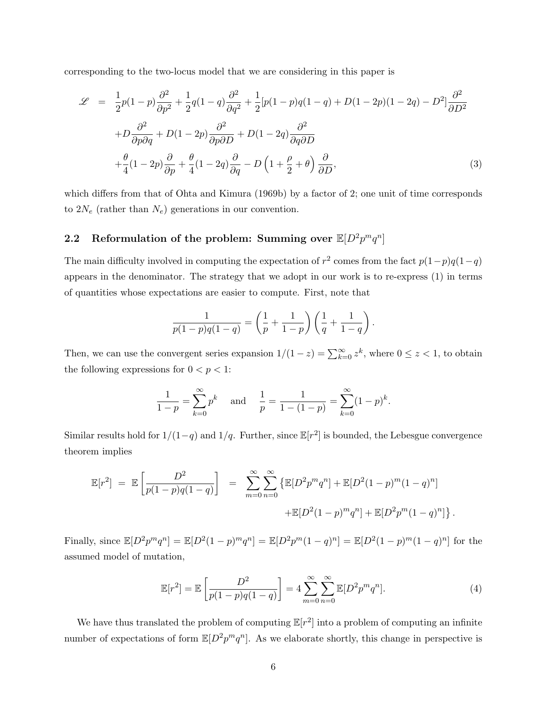corresponding to the two-locus model that we are considering in this paper is

$$
\mathcal{L} = \frac{1}{2}p(1-p)\frac{\partial^2}{\partial p^2} + \frac{1}{2}q(1-q)\frac{\partial^2}{\partial q^2} + \frac{1}{2}[p(1-p)q(1-q) + D(1-2p)(1-2q) - D^2]\frac{\partial^2}{\partial D^2} \n+ D\frac{\partial^2}{\partial p\partial q} + D(1-2p)\frac{\partial^2}{\partial p\partial D} + D(1-2q)\frac{\partial^2}{\partial q\partial D} \n+ \frac{\theta}{4}(1-2p)\frac{\partial}{\partial p} + \frac{\theta}{4}(1-2q)\frac{\partial}{\partial q} - D\left(1+\frac{\rho}{2}+\theta\right)\frac{\partial}{\partial D},
$$
\n(3)

which differs from that of Ohta and Kimura (1969b) by a factor of 2; one unit of time corresponds to  $2N_e$  (rather than  $N_e$ ) generations in our convention.

# 2.2 Reformulation of the problem: Summing over  $\mathbb{E}[D^2 p^m q^n]$

The main difficulty involved in computing the expectation of  $r^2$  comes from the fact  $p(1-p)q(1-q)$ appears in the denominator. The strategy that we adopt in our work is to re-express (1) in terms of quantities whose expectations are easier to compute. First, note that

$$
\frac{1}{p(1-p)q(1-q)} = \left(\frac{1}{p} + \frac{1}{1-p}\right)\left(\frac{1}{q} + \frac{1}{1-q}\right)
$$

.

Then, we can use the convergent series expansion  $1/(1-z) = \sum_{k=0}^{\infty} z^k$ , where  $0 \le z < 1$ , to obtain the following expressions for  $0 < p < 1$ :

$$
\frac{1}{1-p} = \sum_{k=0}^{\infty} p^k \quad \text{and} \quad \frac{1}{p} = \frac{1}{1 - (1-p)} = \sum_{k=0}^{\infty} (1-p)^k.
$$

Similar results hold for  $1/(1-q)$  and  $1/q$ . Further, since  $\mathbb{E}[r^2]$  is bounded, the Lebesgue convergence theorem implies

$$
\mathbb{E}[r^2] = \mathbb{E}\left[\frac{D^2}{p(1-p)q(1-q)}\right] = \sum_{m=0}^{\infty} \sum_{n=0}^{\infty} \left\{\mathbb{E}[D^2p^mq^n] + \mathbb{E}[D^2(1-p)^m(1-q)^n] + \mathbb{E}[D^2(1-p)^mq^n] + \mathbb{E}[D^2p^m(1-q)^n]\right\}.
$$

Finally, since  $\mathbb{E}[D^2 p^m q^n] = \mathbb{E}[D^2 (1-p)^m q^n] = \mathbb{E}[D^2 p^m (1-q)^n] = \mathbb{E}[D^2 (1-p)^m (1-q)^n]$  for the assumed model of mutation,

$$
\mathbb{E}[r^2] = \mathbb{E}\left[\frac{D^2}{p(1-p)q(1-q)}\right] = 4\sum_{m=0}^{\infty} \sum_{n=0}^{\infty} \mathbb{E}[D^2 p^m q^n].
$$
 (4)

We have thus translated the problem of computing  $\mathbb{E}[r^2]$  into a problem of computing an infinite number of expectations of form  $\mathbb{E}[D^2p^mq^n]$ . As we elaborate shortly, this change in perspective is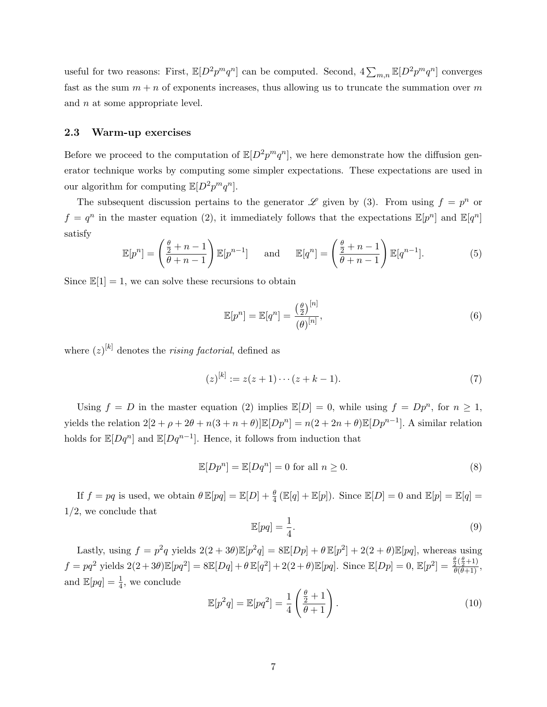useful for two reasons: First,  $\mathbb{E}[D^2p^mq^n]$  can be computed. Second,  $4\sum_{m,n}\mathbb{E}[D^2p^mq^n]$  converges fast as the sum  $m + n$  of exponents increases, thus allowing us to truncate the summation over m and *n* at some appropriate level.

### 2.3 Warm-up exercises

Before we proceed to the computation of  $\mathbb{E}[D^2p^mq^n]$ , we here demonstrate how the diffusion generator technique works by computing some simpler expectations. These expectations are used in our algorithm for computing  $\mathbb{E}[D^2p^mq^n]$ .

The subsequent discussion pertains to the generator  $\mathscr L$  given by (3). From using  $f = p^n$  or  $f = q^n$  in the master equation (2), it immediately follows that the expectations  $\mathbb{E}[p^n]$  and  $\mathbb{E}[q^n]$ satisfy

$$
\mathbb{E}[p^n] = \left(\frac{\frac{\theta}{2} + n - 1}{\theta + n - 1}\right) \mathbb{E}[p^{n-1}] \quad \text{and} \quad \mathbb{E}[q^n] = \left(\frac{\frac{\theta}{2} + n - 1}{\theta + n - 1}\right) \mathbb{E}[q^{n-1}]. \tag{5}
$$

Since  $\mathbb{E}[1] = 1$ , we can solve these recursions to obtain

$$
\mathbb{E}[p^n] = \mathbb{E}[q^n] = \frac{\left(\frac{\theta}{2}\right)^{[n]}}{(\theta)^{[n]}},\tag{6}
$$

where  $(z)^{[k]}$  denotes the *rising factorial*, defined as

$$
(z)^{[k]} := z(z+1)\cdots(z+k-1). \tag{7}
$$

Using  $f = D$  in the master equation (2) implies  $\mathbb{E}[D] = 0$ , while using  $f = Dp^n$ , for  $n \ge 1$ , yields the relation  $2[2 + \rho + 2\theta + n(3 + n + \theta)] \mathbb{E}[Dp^n] = n(2 + 2n + \theta) \mathbb{E}[Dp^{n-1}]$ . A similar relation holds for  $\mathbb{E}[Dq^n]$  and  $\mathbb{E}[Dq^{n-1}]$ . Hence, it follows from induction that

$$
\mathbb{E}[Dp^n] = \mathbb{E}[Dq^n] = 0 \text{ for all } n \ge 0. \tag{8}
$$

If  $f = pq$  is used, we obtain  $\theta \mathbb{E}[pq] = \mathbb{E}[D] + \frac{\theta}{4} (\mathbb{E}[q] + \mathbb{E}[p])$ . Since  $\mathbb{E}[D] = 0$  and  $\mathbb{E}[p] = \mathbb{E}[q] =$ 1/2, we conclude that

$$
\mathbb{E}[pq] = \frac{1}{4}.\tag{9}
$$

Lastly, using  $f = p^2q$  yields  $2(2+3\theta)\mathbb{E}[p^2q] = 8\mathbb{E}[Dp] + \theta \mathbb{E}[p^2] + 2(2+\theta)\mathbb{E}[pq]$ , whereas using  $f = pq^2$  yields  $2(2+3\theta)\mathbb{E}[pq^2] = 8\mathbb{E}[Dq] + \theta \mathbb{E}[q^2] + 2(2+\theta)\mathbb{E}[pq]$ . Since  $\mathbb{E}[Dp] = 0$ ,  $\mathbb{E}[p^2] = \frac{\frac{\theta}{\theta}(\frac{\theta}{2}+1)}{\theta(\theta+1)}$ , and  $\mathbb{E}[pq] = \frac{1}{4}$ , we conclude

$$
\mathbb{E}[p^2q] = \mathbb{E}[pq^2] = \frac{1}{4} \left( \frac{\frac{\theta}{2} + 1}{\theta + 1} \right). \tag{10}
$$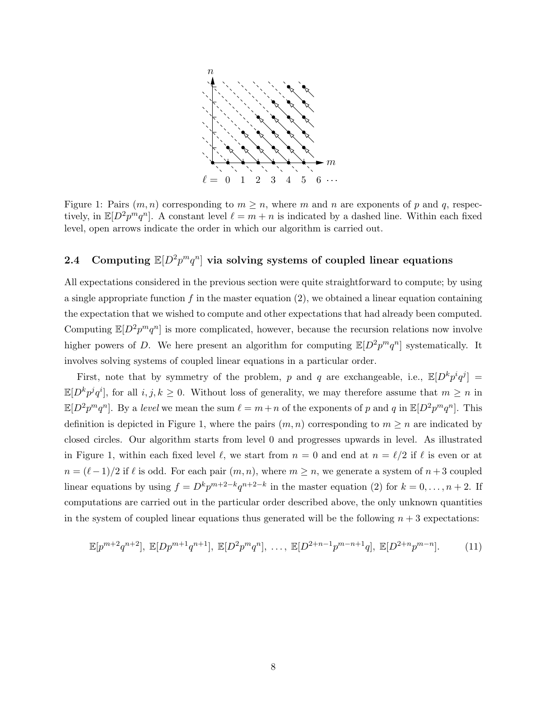

Figure 1: Pairs  $(m, n)$  corresponding to  $m \geq n$ , where m and n are exponents of p and q, respectively, in  $\mathbb{E}[D^2p^mq^n]$ . A constant level  $\ell = m + n$  is indicated by a dashed line. Within each fixed level, open arrows indicate the order in which our algorithm is carried out.

# 2.4 Computing  $\mathbb{E}[D^2 p^m q^n]$  via solving systems of coupled linear equations

All expectations considered in the previous section were quite straightforward to compute; by using a single appropriate function  $f$  in the master equation (2), we obtained a linear equation containing the expectation that we wished to compute and other expectations that had already been computed. Computing  $\mathbb{E}[D^2p^mq^n]$  is more complicated, however, because the recursion relations now involve higher powers of D. We here present an algorithm for computing  $\mathbb{E}[D^2 p^m q^n]$  systematically. It involves solving systems of coupled linear equations in a particular order.

First, note that by symmetry of the problem, p and q are exchangeable, i.e.,  $\mathbb{E}[D^k p^i q^j] =$  $\mathbb{E}[D^k p^j q^i]$ , for all  $i, j, k \geq 0$ . Without loss of generality, we may therefore assume that  $m \geq n$  in  $\mathbb{E}[D^2p^mq^n]$ . By a level we mean the sum  $\ell = m+n$  of the exponents of p and q in  $\mathbb{E}[D^2p^mq^n]$ . This definition is depicted in Figure 1, where the pairs  $(m, n)$  corresponding to  $m \geq n$  are indicated by closed circles. Our algorithm starts from level 0 and progresses upwards in level. As illustrated in Figure 1, within each fixed level  $\ell$ , we start from  $n = 0$  and end at  $n = \ell/2$  if  $\ell$  is even or at  $n = (\ell-1)/2$  if  $\ell$  is odd. For each pair  $(m, n)$ , where  $m \ge n$ , we generate a system of  $n + 3$  coupled linear equations by using  $f = D^k p^{m+2-k} q^{n+2-k}$  in the master equation (2) for  $k = 0, \ldots, n+2$ . If computations are carried out in the particular order described above, the only unknown quantities in the system of coupled linear equations thus generated will be the following  $n + 3$  expectations:

$$
\mathbb{E}[p^{m+2}q^{n+2}], \ \mathbb{E}[Dp^{m+1}q^{n+1}], \ \mathbb{E}[D^2p^mq^n], \ \ldots, \ \mathbb{E}[D^{2+n-1}p^{m-n+1}q], \ \mathbb{E}[D^{2+n}p^{m-n}]. \tag{11}
$$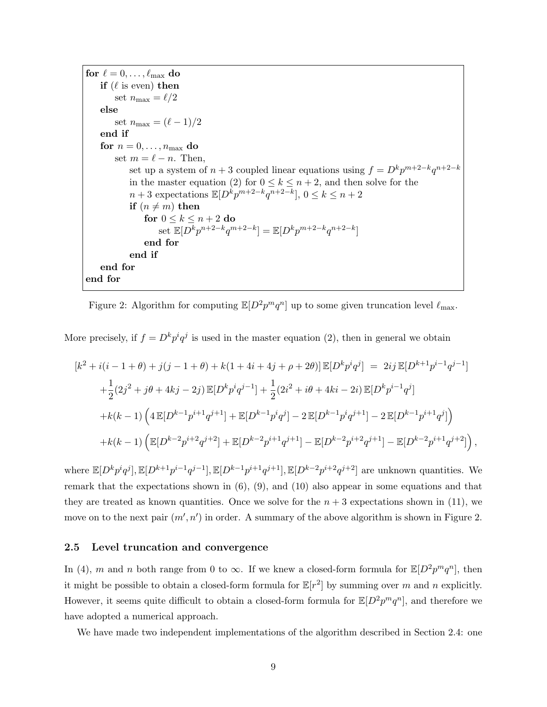for  $\ell = 0, \ldots, \ell_{\text{max}}$  do if  $(\ell \text{ is even})$  then set  $n_{\text{max}} = \ell/2$ else set  $n_{\text{max}} = (\ell - 1)/2$ end if for  $n = 0, \ldots, n_{\text{max}}$  do set  $m = \ell - n$ . Then, set up a system of  $n+3$  coupled linear equations using  $f = D^k p^{m+2-k} q^{n+2-k}$ in the master equation (2) for  $0 \le k \le n+2$ , and then solve for the  $n+3$  expectations  $\mathbb{E}[D^k p^{m+2-k} q^{n+2-k}], 0 \le k \le n+2$ if  $(n \neq m)$  then for  $0 \leq k \leq n+2$  do set  $\mathbb{E}[D^k p^{n+2-k} q^{m+2-k}] = \mathbb{E}[D^k p^{m+2-k} q^{n+2-k}]$ end for end if end for end for

Figure 2: Algorithm for computing  $\mathbb{E}[D^2 p^m q^n]$  up to some given truncation level  $\ell_{\text{max}}$ .

More precisely, if  $f = D^k p^i q^j$  is used in the master equation (2), then in general we obtain

$$
[k^{2} + i(i - 1 + \theta) + j(j - 1 + \theta) + k(1 + 4i + 4j + \rho + 2\theta)] \mathbb{E}[D^{k}p^{i}q^{j}] = 2ij \mathbb{E}[D^{k+1}p^{i-1}q^{j-1}]
$$
  
+ 
$$
\frac{1}{2}(2j^{2} + j\theta + 4kj - 2j) \mathbb{E}[D^{k}p^{i}q^{j-1}] + \frac{1}{2}(2i^{2} + i\theta + 4ki - 2i) \mathbb{E}[D^{k}p^{i-1}q^{j}]
$$
  
+ 
$$
k(k - 1) \left(4 \mathbb{E}[D^{k-1}p^{i+1}q^{j+1}] + \mathbb{E}[D^{k-1}p^{i}q^{j}] - 2 \mathbb{E}[D^{k-1}p^{i}q^{j+1}] - 2 \mathbb{E}[D^{k-1}p^{i+1}q^{j}] \right)
$$
  
+ 
$$
k(k - 1) \left( \mathbb{E}[D^{k-2}p^{i+2}q^{j+2}] + \mathbb{E}[D^{k-2}p^{i+1}q^{j+1}] - \mathbb{E}[D^{k-2}p^{i+2}q^{j+1}] - \mathbb{E}[D^{k-2}p^{i+1}q^{j+2}] \right)
$$

,

where  $\mathbb{E}[D^k p^i q^j], \mathbb{E}[D^{k+1} p^{i-1} q^{j-1}], \mathbb{E}[D^{k-1} p^{i+1} q^{j+1}], \mathbb{E}[D^{k-2} p^{i+2} q^{j+2}]$  are unknown quantities. We remark that the expectations shown in  $(6)$ ,  $(9)$ , and  $(10)$  also appear in some equations and that they are treated as known quantities. Once we solve for the  $n + 3$  expectations shown in (11), we move on to the next pair  $(m', n')$  in order. A summary of the above algorithm is shown in Figure 2.

#### 2.5 Level truncation and convergence

In (4), m and n both range from 0 to  $\infty$ . If we knew a closed-form formula for  $\mathbb{E}[D^2p^mq^n]$ , then it might be possible to obtain a closed-form formula for  $\mathbb{E}[r^2]$  by summing over m and n explicitly. However, it seems quite difficult to obtain a closed-form formula for  $\mathbb{E}[D^2p^mq^n]$ , and therefore we have adopted a numerical approach.

We have made two independent implementations of the algorithm described in Section 2.4: one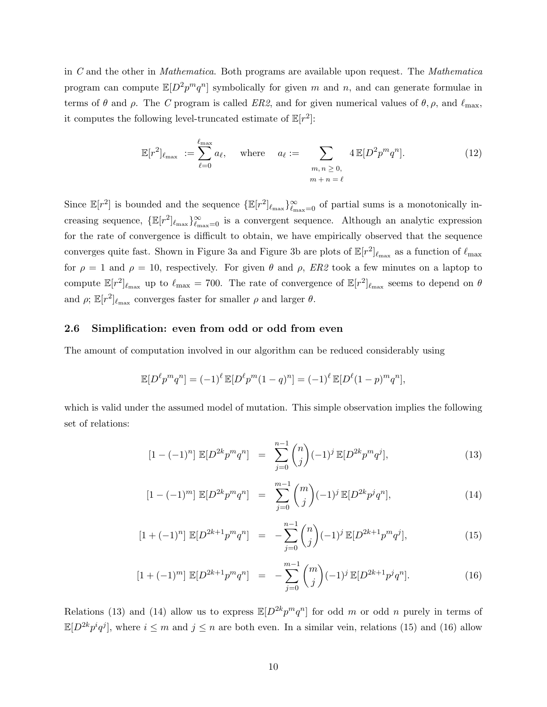in C and the other in Mathematica. Both programs are available upon request. The Mathematica program can compute  $\mathbb{E}[D^2 p^m q^n]$  symbolically for given m and n, and can generate formulae in terms of  $\theta$  and  $\rho$ . The C program is called ER2, and for given numerical values of  $\theta$ ,  $\rho$ , and  $\ell_{\text{max}}$ , it computes the following level-truncated estimate of  $\mathbb{E}[r^2]$ :

$$
\mathbb{E}[r^2]_{\ell_{\max}} := \sum_{\ell=0}^{\ell_{\max}} a_\ell, \quad \text{where} \quad a_\ell := \sum_{\substack{m, n \ge 0, \\ m + n = \ell}} 4 \mathbb{E}[D^2 p^m q^n]. \tag{12}
$$

Since  $\mathbb{E}[r^2]$  is bounded and the sequence  $\{\mathbb{E}[r^2]_{\ell_{\max}}\}_{\ell_{\max}=0}^{\infty}$  of partial sums is a monotonically increasing sequence,  $\{\mathbb{E}[r^2]_{\ell_{\max}}\}_{\ell_{\max}=0}^{\infty}$  is a convergent sequence. Although an analytic expression for the rate of convergence is difficult to obtain, we have empirically observed that the sequence converges quite fast. Shown in Figure 3a and Figure 3b are plots of  $\mathbb{E}[r^2]_{\ell_{\max}}$  as a function of  $\ell_{\max}$ for  $\rho = 1$  and  $\rho = 10$ , respectively. For given  $\theta$  and  $\rho$ , ER2 took a few minutes on a laptop to compute  $\mathbb{E}[r^2]_{\ell_{\max}}$  up to  $\ell_{\max} = 700$ . The rate of convergence of  $\mathbb{E}[r^2]_{\ell_{\max}}$  seems to depend on  $\theta$ and  $\rho$ ;  $\mathbb{E}[r^2]_{\ell_{\max}}$  converges faster for smaller  $\rho$  and larger  $\theta$ .

#### 2.6 Simplification: even from odd or odd from even

The amount of computation involved in our algorithm can be reduced considerably using

$$
\mathbb{E}[D^{\ell} p^m q^n] = (-1)^{\ell} \mathbb{E}[D^{\ell} p^m (1-q)^n] = (-1)^{\ell} \mathbb{E}[D^{\ell} (1-p)^m q^n],
$$

which is valid under the assumed model of mutation. This simple observation implies the following set of relations:

$$
[1 - (-1)^n] \mathbb{E}[D^{2k}p^mq^n] = \sum_{j=0}^{n-1} \binom{n}{j} (-1)^j \mathbb{E}[D^{2k}p^mq^j], \tag{13}
$$

$$
[1 - (-1)^m] \mathbb{E}[D^{2k}p^m q^n] = \sum_{j=0}^{m-1} {m \choose j} (-1)^j \mathbb{E}[D^{2k}p^j q^n], \qquad (14)
$$

$$
[1 + (-1)^n] \mathbb{E}[D^{2k+1}p^m q^n] = -\sum_{j=0}^{n-1} \binom{n}{j} (-1)^j \mathbb{E}[D^{2k+1}p^m q^j], \tag{15}
$$

$$
[1 + (-1)^m] \mathbb{E}[D^{2k+1}p^mq^n] = -\sum_{j=0}^{m-1} \binom{m}{j} (-1)^j \mathbb{E}[D^{2k+1}p^jq^n]. \tag{16}
$$

Relations (13) and (14) allow us to express  $\mathbb{E}[D^{2k}p^mq^n]$  for odd m or odd n purely in terms of  $\mathbb{E}[D^{2k}p^i q^j]$ , where  $i \leq m$  and  $j \leq n$  are both even. In a similar vein, relations (15) and (16) allow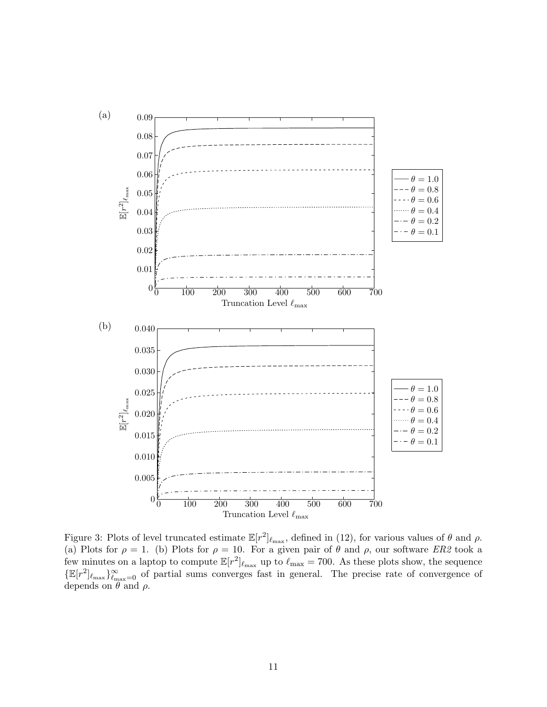

Figure 3: Plots of level truncated estimate  $\mathbb{E}[r^2]_{\ell_{\text{max}}}$ , defined in (12), for various values of  $\theta$  and  $\rho$ . (a) Plots for  $\rho = 1$ . (b) Plots for  $\rho = 10$ . For a given pair of  $\theta$  and  $\rho$ , our software ER2 took a few minutes on a laptop to compute  $\mathbb{E}[r^2]_{\ell_{\max}}$  up to  $\ell_{\max} = 700$ . As these plots show, the sequence  $\{\mathbb{E}[r^2]_{\ell_{\text{max}}}\}_{\ell_{\text{max}}=0}^{\infty}$  of partial sums converges fast in general. The precise rate of convergence of depends on  $\theta$  and  $\rho$ .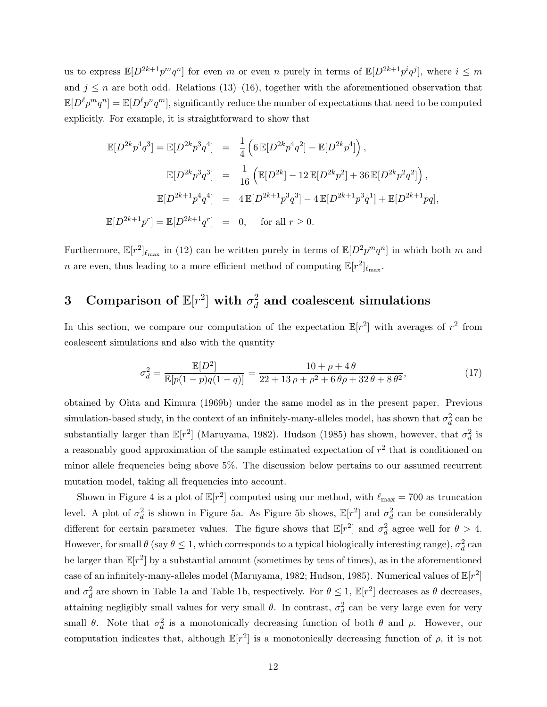us to express  $\mathbb{E}[D^{2k+1}p^mq^n]$  for even m or even n purely in terms of  $\mathbb{E}[D^{2k+1}p^iq^j]$ , where  $i \leq m$ and  $j \leq n$  are both odd. Relations (13)–(16), together with the aforementioned observation that  $\mathbb{E}[D^{\ell}p^{m}q^{n}] = \mathbb{E}[D^{\ell}p^{n}q^{m}]$ , significantly reduce the number of expectations that need to be computed explicitly. For example, it is straightforward to show that

$$
\mathbb{E}[D^{2k}p^4q^3] = \mathbb{E}[D^{2k}p^3q^4] = \frac{1}{4}\left(6\,\mathbb{E}[D^{2k}p^4q^2] - \mathbb{E}[D^{2k}p^4]\right),
$$
  
\n
$$
\mathbb{E}[D^{2k}p^3q^3] = \frac{1}{16}\left(\mathbb{E}[D^{2k}] - 12\,\mathbb{E}[D^{2k}p^2] + 36\,\mathbb{E}[D^{2k}p^2q^2]\right),
$$
  
\n
$$
\mathbb{E}[D^{2k+1}p^4q^4] = 4\,\mathbb{E}[D^{2k+1}p^3q^3] - 4\,\mathbb{E}[D^{2k+1}p^3q^1] + \mathbb{E}[D^{2k+1}pq],
$$
  
\n
$$
\mathbb{E}[D^{2k+1}p^r] = \mathbb{E}[D^{2k+1}q^r] = 0, \text{ for all } r \ge 0.
$$

Furthermore,  $\mathbb{E}[r^2]_{\ell_{\max}}$  in (12) can be written purely in terms of  $\mathbb{E}[D^2p^mq^n]$  in which both m and n are even, thus leading to a more efficient method of computing  $\mathbb{E}[r^2]_{\ell_{\max}}$ .

#### 3 Comparison of  $\mathbb{E}[r^2]$  with  $\sigma_d^2$  $_d^2$  and coalescent simulations

In this section, we compare our computation of the expectation  $\mathbb{E}[r^2]$  with averages of  $r^2$  from coalescent simulations and also with the quantity

$$
\sigma_d^2 = \frac{\mathbb{E}[D^2]}{\mathbb{E}[p(1-p)q(1-q)]} = \frac{10 + \rho + 4\theta}{22 + 13\rho + \rho^2 + 6\theta\rho + 32\theta + 8\theta^2},\tag{17}
$$

obtained by Ohta and Kimura (1969b) under the same model as in the present paper. Previous simulation-based study, in the context of an infinitely-many-alleles model, has shown that  $\sigma_d^2$  can be substantially larger than  $\mathbb{E}[r^2]$  (Maruyama, 1982). Hudson (1985) has shown, however, that  $\sigma_d^2$  is a reasonably good approximation of the sample estimated expectation of  $r^2$  that is conditioned on minor allele frequencies being above 5%. The discussion below pertains to our assumed recurrent mutation model, taking all frequencies into account.

Shown in Figure 4 is a plot of  $\mathbb{E}[r^2]$  computed using our method, with  $\ell_{\text{max}} = 700$  as truncation level. A plot of  $\sigma_d^2$  is shown in Figure 5a. As Figure 5b shows,  $\mathbb{E}[r^2]$  and  $\sigma_d^2$  can be considerably different for certain parameter values. The figure shows that  $\mathbb{E}[r^2]$  and  $\sigma_d^2$  agree well for  $\theta > 4$ . However, for small  $\theta$  (say  $\theta \le 1$ , which corresponds to a typical biologically interesting range),  $\sigma_d^2$  can be larger than  $\mathbb{E}[r^2]$  by a substantial amount (sometimes by tens of times), as in the aforementioned case of an infinitely-many-alleles model (Maruyama, 1982; Hudson, 1985). Numerical values of  $\mathbb{E}[r^2]$ and  $\sigma_d^2$  are shown in Table 1a and Table 1b, respectively. For  $\theta \le 1$ ,  $\mathbb{E}[r^2]$  decreases as  $\theta$  decreases, attaining negligibly small values for very small  $\theta$ . In contrast,  $\sigma_d^2$  can be very large even for very small  $\theta$ . Note that  $\sigma_d^2$  is a monotonically decreasing function of both  $\theta$  and  $\rho$ . However, our computation indicates that, although  $\mathbb{E}[r^2]$  is a monotonically decreasing function of  $\rho$ , it is not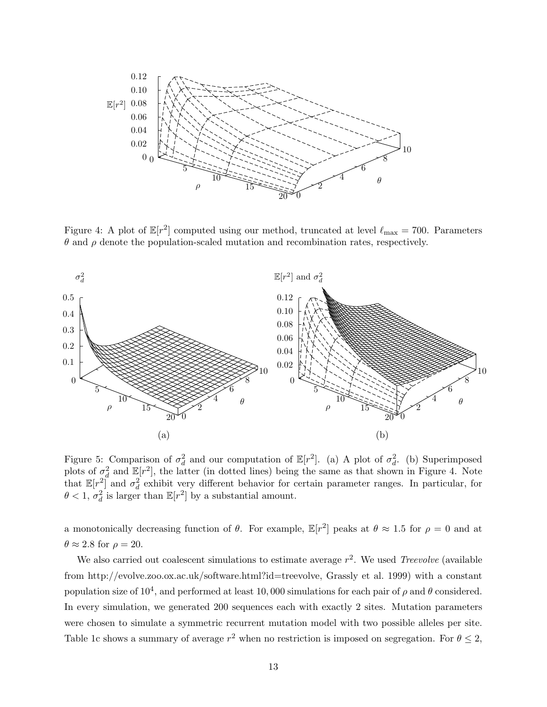

Figure 4: A plot of  $\mathbb{E}[r^2]$  computed using our method, truncated at level  $\ell_{\max} = 700$ . Parameters θ and ρ denote the population-scaled mutation and recombination rates, respectively.



Figure 5: Comparison of  $\sigma_d^2$  and our computation of  $\mathbb{E}[r^2]$ . (a) A plot of  $\sigma_d^2$ . (b) Superimposed plots of  $\sigma_d^2$  and  $\mathbb{E}[r^2]$ , the latter (in dotted lines) being the same as that shown in Figure 4. Note that  $\mathbb{E}[r^2]$  and  $\sigma_d^2$  exhibit very different behavior for certain parameter ranges. In particular, for  $\theta < 1, \sigma_d^2$  is larger than  $\mathbb{E}[r^2]$  by a substantial amount.

a monotonically decreasing function of  $\theta$ . For example,  $\mathbb{E}[r^2]$  peaks at  $\theta \approx 1.5$  for  $\rho = 0$  and at  $\theta \approx 2.8$  for  $\rho = 20$ .

We also carried out coalescent simulations to estimate average  $r^2$ . We used Treevolve (available from http://evolve.zoo.ox.ac.uk/software.html?id=treevolve, Grassly et al. 1999) with a constant population size of  $10^4$ , and performed at least 10,000 simulations for each pair of  $\rho$  and  $\theta$  considered. In every simulation, we generated 200 sequences each with exactly 2 sites. Mutation parameters were chosen to simulate a symmetric recurrent mutation model with two possible alleles per site. Table 1c shows a summary of average  $r^2$  when no restriction is imposed on segregation. For  $\theta \leq 2$ ,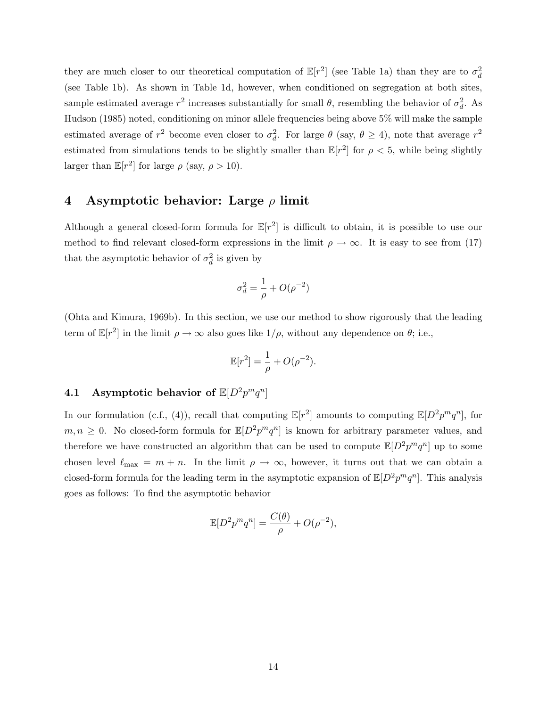they are much closer to our theoretical computation of  $\mathbb{E}[r^2]$  (see Table 1a) than they are to  $\sigma_d^2$ (see Table 1b). As shown in Table 1d, however, when conditioned on segregation at both sites, sample estimated average  $r^2$  increases substantially for small  $\theta$ , resembling the behavior of  $\sigma_d^2$ . As Hudson (1985) noted, conditioning on minor allele frequencies being above 5% will make the sample estimated average of  $r^2$  become even closer to  $\sigma_d^2$ . For large  $\theta$  (say,  $\theta \ge 4$ ), note that average  $r^2$ estimated from simulations tends to be slightly smaller than  $\mathbb{E}[r^2]$  for  $\rho < 5$ , while being slightly larger than  $\mathbb{E}[r^2]$  for large  $\rho$  (say,  $\rho > 10$ ).

### 4 Asymptotic behavior: Large  $\rho$  limit

Although a general closed-form formula for  $\mathbb{E}[r^2]$  is difficult to obtain, it is possible to use our method to find relevant closed-form expressions in the limit  $\rho \to \infty$ . It is easy to see from (17) that the asymptotic behavior of  $\sigma_d^2$  is given by

$$
\sigma_d^2 = \frac{1}{\rho} + O(\rho^{-2})
$$

(Ohta and Kimura, 1969b). In this section, we use our method to show rigorously that the leading term of  $\mathbb{E}[r^2]$  in the limit  $\rho \to \infty$  also goes like  $1/\rho$ , without any dependence on  $\theta$ ; i.e.,

$$
\mathbb{E}[r^2] = \frac{1}{\rho} + O(\rho^{-2}).
$$

# 4.1 Asymptotic behavior of  $\mathbb{E}[D^2 p^m q^n]$

In our formulation (c.f., (4)), recall that computing  $\mathbb{E}[r^2]$  amounts to computing  $\mathbb{E}[D^2p^mq^n]$ , for  $m, n \geq 0$ . No closed-form formula for  $\mathbb{E}[D^2 p^m q^n]$  is known for arbitrary parameter values, and therefore we have constructed an algorithm that can be used to compute  $\mathbb{E}[D^2p^mq^n]$  up to some chosen level  $\ell_{\text{max}} = m + n$ . In the limit  $\rho \to \infty$ , however, it turns out that we can obtain a closed-form formula for the leading term in the asymptotic expansion of  $\mathbb{E}[D^2p^mq^n]$ . This analysis goes as follows: To find the asymptotic behavior

$$
\mathbb{E}[D^2 p^m q^n] = \frac{C(\theta)}{\rho} + O(\rho^{-2}),
$$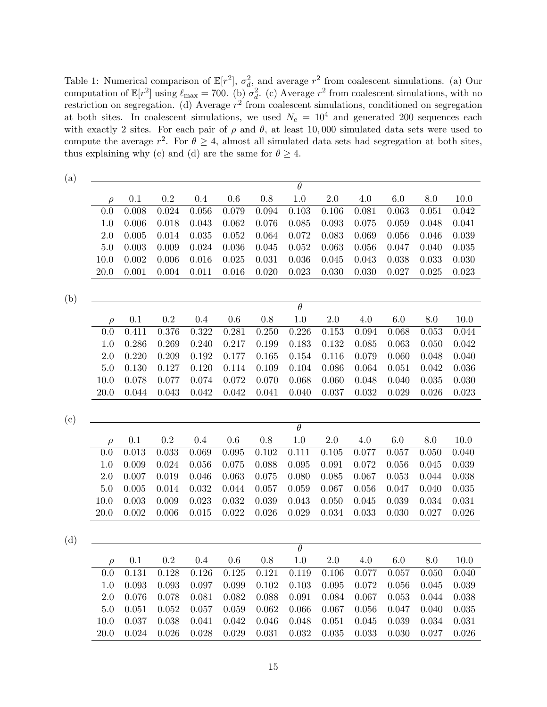Table 1: Numerical comparison of  $\mathbb{E}[r^2]$ ,  $\sigma_d^2$ , and average  $r^2$  from coalescent simulations. (a) Our computation of  $\mathbb{E}[r^2]$  using  $\ell_{\text{max}} = 700$ . (b)  $\sigma_d^2$ . (c) Average  $r^2$  from coalescent simulations, with no restriction on segregation. (d) Average  $r^2$  from coalescent simulations, conditioned on segregation at both sites. In coalescent simulations, we used  $N_e = 10^4$  and generated 200 sequences each with exactly 2 sites. For each pair of  $\rho$  and  $\theta$ , at least 10,000 simulated data sets were used to compute the average  $r^2$ . For  $\theta \geq 4$ , almost all simulated data sets had segregation at both sites, thus explaining why (c) and (d) are the same for  $\theta \geq 4$ .

| (a) |          |           |           |         |         |           |                     |         |         |         |                |             |
|-----|----------|-----------|-----------|---------|---------|-----------|---------------------|---------|---------|---------|----------------|-------------|
|     |          |           |           |         |         |           | $\theta$            |         |         |         |                |             |
|     | $\rho$   | $0.1\,$   | $\rm 0.2$ | $0.4\,$ | $0.6\,$ | $0.8\,$   | 1.0                 | $2.0\,$ | 4.0     | $6.0\,$ | 8.0            | 10.0        |
|     | 0.0      | 0.008     | 0.024     | 0.056   | 0.079   | 0.094     | 0.103               | 0.106   | 0.081   | 0.063   | 0.051          | 0.042       |
|     | 1.0      | 0.006     | 0.018     | 0.043   | 0.062   | 0.076     | 0.085               | 0.093   | 0.075   | 0.059   | 0.048          | 0.041       |
|     | 2.0      | 0.005     | 0.014     | 0.035   | 0.052   | 0.064     | 0.072               | 0.083   | 0.069   | 0.056   | 0.046          | 0.039       |
|     | $5.0\,$  | 0.003     | 0.009     | 0.024   | 0.036   | 0.045     | 0.052               | 0.063   | 0.056   | 0.047   | 0.040          | 0.035       |
|     | 10.0     | 0.002     | 0.006     | 0.016   | 0.025   | 0.031     | 0.036               | 0.045   | 0.043   | 0.038   | 0.033          | 0.030       |
|     | 20.0     | 0.001     | 0.004     | 0.011   | 0.016   | 0.020     | 0.023               | 0.030   | 0.030   | 0.027   | 0.025          | 0.023       |
|     |          |           |           |         |         |           |                     |         |         |         |                |             |
| (b) |          |           |           |         |         |           |                     |         |         |         |                |             |
|     |          |           |           |         |         |           | $\theta$            |         |         |         |                |             |
|     | $\rho$   | 0.1       | 0.2       | 0.4     | 0.6     | $0.8\,$   | 1.0                 | $2.0\,$ | 4.0     | $6.0\,$ | 8.0            | $10.0$      |
|     | 0.0      | 0.411     | 0.376     | 0.322   | 0.281   | 0.250     | 0.226               | 0.153   | 0.094   | 0.068   | 0.053          | 0.044       |
|     | $1.0\,$  | 0.286     | 0.269     | 0.240   | 0.217   | 0.199     | 0.183               | 0.132   | 0.085   | 0.063   | 0.050          | 0.042       |
|     | 2.0      | 0.220     | 0.209     | 0.192   | 0.177   | 0.165     | 0.154               | 0.116   | 0.079   | 0.060   | 0.048          | 0.040       |
|     | 5.0      | 0.130     | 0.127     | 0.120   | 0.114   | 0.109     | 0.104               | 0.086   | 0.064   | 0.051   | 0.042          | 0.036       |
|     | 10.0     | 0.078     | 0.077     | 0.074   | 0.072   | 0.070     | 0.068               | 0.060   | 0.048   | 0.040   | 0.035<br>0.026 | 0.030       |
|     | $20.0\,$ | 0.044     | 0.043     | 0.042   | 0.042   | 0.041     | 0.040               | 0.037   | 0.032   | 0.029   |                | 0.023       |
|     |          |           |           |         |         |           |                     |         |         |         |                |             |
| (c) |          |           |           |         |         |           | $\overline{\theta}$ |         |         |         |                |             |
|     | $\rho$   | 0.1       | $\rm 0.2$ | $0.4\,$ | $0.6\,$ | $0.8\,$   | $1.0\,$             | $2.0\,$ | 4.0     | 6.0     | $8.0\,$        | 10.0        |
|     | 0.0      | 0.013     | 0.033     | 0.069   | 0.095   | 0.102     | 0.111               | 0.105   | 0.077   | 0.057   | 0.050          | 0.040       |
|     | 1.0      | 0.009     | 0.024     | 0.056   | 0.075   | 0.088     | 0.095               | 0.091   | 0.072   | 0.056   | 0.045          | 0.039       |
|     | 2.0      | 0.007     | 0.019     | 0.046   | 0.063   | 0.075     | 0.080               | 0.085   | 0.067   | 0.053   | 0.044          | 0.038       |
|     | $5.0\,$  | 0.005     | 0.014     | 0.032   | 0.044   | 0.057     | 0.059               | 0.067   | 0.056   | 0.047   | 0.040          | $\,0.035\,$ |
|     | 10.0     | 0.003     | 0.009     | 0.023   | 0.032   | 0.039     | 0.043               | 0.050   | 0.045   | 0.039   | 0.034          | 0.031       |
|     | 20.0     | 0.002     | 0.006     | 0.015   | 0.022   | 0.026     | 0.029               | 0.034   | 0.033   | 0.030   | 0.027          | 0.026       |
|     |          |           |           |         |         |           |                     |         |         |         |                |             |
| (d) |          |           |           |         |         |           |                     |         |         |         |                |             |
|     |          |           |           |         |         |           | $\overline{\theta}$ |         |         |         |                |             |
|     | $\rho$   | $0.1\,$   | $\rm 0.2$ | 0.4     | $0.6\,$ | 0.8       | 1.0                 | $2.0\,$ | $4.0\,$ | $6.0\,$ | $8.0\,$        | $10.0\,$    |
|     | 0.0      | $0.131\,$ | $0.128\,$ | 0.126   | 0.125   | $0.121\,$ | $0.119\,$           | 0.106   | 0.077   | 0.057   | 0.050          | 0.040       |
|     | $1.0\,$  | 0.093     | 0.093     | 0.097   | 0.099   | 0.102     | 0.103               | 0.095   | 0.072   | 0.056   | 0.045          | 0.039       |
|     | $2.0\,$  | 0.076     | 0.078     | 0.081   | 0.082   | 0.088     | 0.091               | 0.084   | 0.067   | 0.053   | 0.044          | 0.038       |
|     | $5.0\,$  | 0.051     | 0.052     | 0.057   | 0.059   | 0.062     | 0.066               | 0.067   | 0.056   | 0.047   | 0.040          | 0.035       |
|     | 10.0     | 0.037     | 0.038     | 0.041   | 0.042   | 0.046     | 0.048               | 0.051   | 0.045   | 0.039   | 0.034          | 0.031       |
|     | $20.0\,$ | 0.024     | 0.026     | 0.028   | 0.029   | 0.031     | 0.032               | 0.035   | 0.033   | 0.030   | 0.027          | 0.026       |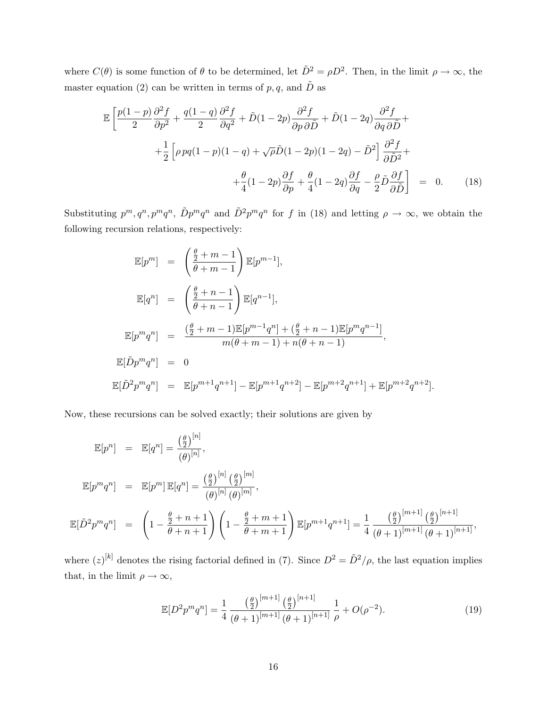where  $C(\theta)$  is some function of  $\theta$  to be determined, let  $\tilde{D}^2 = \rho D^2$ . Then, in the limit  $\rho \to \infty$ , the master equation (2) can be written in terms of  $p, q$ , and  $\tilde{D}$  as

$$
\mathbb{E}\left[\frac{p(1-p)}{2}\frac{\partial^2 f}{\partial p^2} + \frac{q(1-q)}{2}\frac{\partial^2 f}{\partial q^2} + \tilde{D}(1-2p)\frac{\partial^2 f}{\partial p\partial \tilde{D}} + \tilde{D}(1-2q)\frac{\partial^2 f}{\partial q\partial \tilde{D}} + \frac{1}{2}\left[\rho pq(1-p)(1-q) + \sqrt{\rho}\tilde{D}(1-2p)(1-2q) - \tilde{D}^2\right]\frac{\partial^2 f}{\partial \tilde{D}^2} + \frac{\theta}{4}(1-2p)\frac{\partial f}{\partial p} + \frac{\theta}{4}(1-2q)\frac{\partial f}{\partial q} - \frac{\rho}{2}\tilde{D}\frac{\partial f}{\partial \tilde{D}}\right] = 0.
$$
 (18)

Substituting  $p^m, q^n, p^m q^n$ ,  $\tilde{D}p^m q^n$  and  $\tilde{D}^2 p^m q^n$  for f in (18) and letting  $\rho \to \infty$ , we obtain the following recursion relations, respectively:

$$
\mathbb{E}[p^m] = \left(\frac{\frac{\theta}{2} + m - 1}{\theta + m - 1}\right) \mathbb{E}[p^{m-1}],
$$
  
\n
$$
\mathbb{E}[q^n] = \left(\frac{\frac{\theta}{2} + n - 1}{\theta + n - 1}\right) \mathbb{E}[q^{n-1}],
$$
  
\n
$$
\mathbb{E}[p^m q^n] = \frac{(\frac{\theta}{2} + m - 1)\mathbb{E}[p^{m-1}q^n] + (\frac{\theta}{2} + n - 1)\mathbb{E}[p^m q^{n-1}]}{m(\theta + m - 1) + n(\theta + n - 1)},
$$
  
\n
$$
\mathbb{E}[\tilde{D}p^m q^n] = 0
$$
  
\n
$$
\mathbb{E}[\tilde{D}^2 p^m q^n] = \mathbb{E}[p^{m+1}q^{n+1}] - \mathbb{E}[p^{m+1}q^{n+2}] - \mathbb{E}[p^{m+2}q^{n+1}] + \mathbb{E}[p^{m+2}q^{n+2}].
$$

Now, these recursions can be solved exactly; their solutions are given by

$$
\mathbb{E}[p^n] = \mathbb{E}[q^n] = \frac{\left(\frac{\theta}{2}\right)^{[n]}}{(\theta)^{[n]}},
$$
  
\n
$$
\mathbb{E}[p^m q^n] = \mathbb{E}[p^m] \mathbb{E}[q^n] = \frac{\left(\frac{\theta}{2}\right)^{[n]} \left(\frac{\theta}{2}\right)^{[m]}}{(\theta)^{[n]} (\theta)^{[m]}},
$$
  
\n
$$
\mathbb{E}[\tilde{D}^2 p^m q^n] = \left(1 - \frac{\frac{\theta}{2} + n + 1}{\theta + n + 1}\right) \left(1 - \frac{\frac{\theta}{2} + m + 1}{\theta + m + 1}\right) \mathbb{E}[p^{m+1} q^{n+1}] = \frac{1}{4} \frac{\left(\frac{\theta}{2}\right)^{[m+1]} \left(\frac{\theta}{2}\right)^{[n+1]}}{(\theta + 1)^{[m+1]} (\theta + 1)^{[n+1]}},
$$

where  $(z)^{[k]}$  denotes the rising factorial defined in (7). Since  $D^2 = \tilde{D}^2/\rho$ , the last equation implies that, in the limit  $\rho \to \infty$ ,

$$
\mathbb{E}[D^2 p^m q^n] = \frac{1}{4} \frac{\left(\frac{\theta}{2}\right)^{[m+1]} \left(\frac{\theta}{2}\right)^{[n+1]}}{\left(\theta + 1\right)^{[m+1]} \left(\theta + 1\right)^{[n+1]}} \frac{1}{\rho} + O(\rho^{-2}).\tag{19}
$$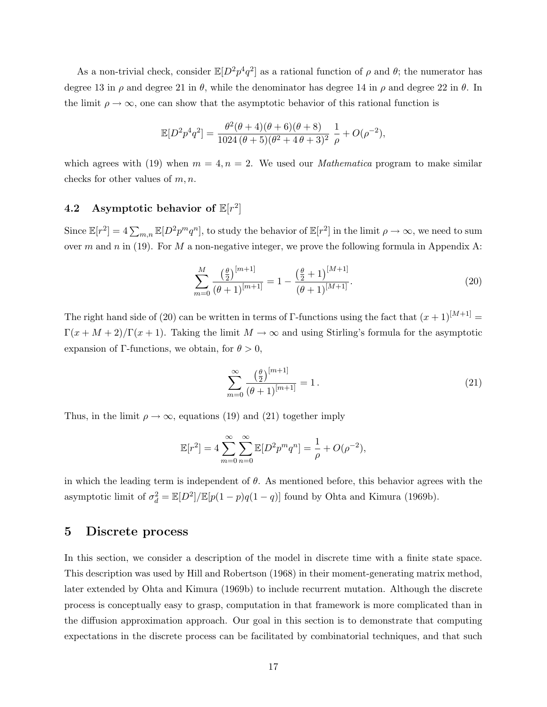As a non-trivial check, consider  $\mathbb{E}[D^2 p^4 q^2]$  as a rational function of  $\rho$  and  $\theta$ ; the numerator has degree 13 in  $\rho$  and degree 21 in  $\theta$ , while the denominator has degree 14 in  $\rho$  and degree 22 in  $\theta$ . In the limit  $\rho \to \infty$ , one can show that the asymptotic behavior of this rational function is

$$
\mathbb{E}[D^2 p^4 q^2] = \frac{\theta^2 (\theta + 4)(\theta + 6)(\theta + 8)}{1024 (\theta + 5)(\theta^2 + 4\theta + 3)^2} \frac{1}{\rho} + O(\rho^{-2}),
$$

which agrees with (19) when  $m = 4, n = 2$ . We used our *Mathematica* program to make similar checks for other values of  $m, n$ .

# 4.2 Asymptotic behavior of  $\mathbb{E}[r^2]$

Since  $\mathbb{E}[r^2] = 4 \sum_{m,n} \mathbb{E}[D^2 p^m q^n]$ , to study the behavior of  $\mathbb{E}[r^2]$  in the limit  $\rho \to \infty$ , we need to sum over m and n in (19). For M a non-negative integer, we prove the following formula in Appendix A:

$$
\sum_{m=0}^{M} \frac{\left(\frac{\theta}{2}\right)^{[m+1]}}{(\theta+1)^{[m+1]}} = 1 - \frac{\left(\frac{\theta}{2}+1\right)^{[M+1]}}{(\theta+1)^{[M+1]}}.
$$
\n(20)

The right hand side of (20) can be written in terms of Γ-functions using the fact that  $(x + 1)^{[M+1]}$  =  $\Gamma(x + M + 2)/\Gamma(x + 1)$ . Taking the limit  $M \to \infty$  and using Stirling's formula for the asymptotic expansion of Γ-functions, we obtain, for  $\theta > 0$ ,

$$
\sum_{m=0}^{\infty} \frac{\left(\frac{\theta}{2}\right)^{[m+1]}}{(\theta+1)^{[m+1]}} = 1.
$$
\n(21)

Thus, in the limit  $\rho \to \infty$ , equations (19) and (21) together imply

$$
\mathbb{E}[r^2] = 4 \sum_{m=0}^{\infty} \sum_{n=0}^{\infty} \mathbb{E}[D^2 p^m q^n] = \frac{1}{\rho} + O(\rho^{-2}),
$$

in which the leading term is independent of  $\theta$ . As mentioned before, this behavior agrees with the asymptotic limit of  $\sigma_d^2 = \mathbb{E}[D^2]/\mathbb{E}[p(1-p)q(1-q)]$  found by Ohta and Kimura (1969b).

### 5 Discrete process

In this section, we consider a description of the model in discrete time with a finite state space. This description was used by Hill and Robertson (1968) in their moment-generating matrix method, later extended by Ohta and Kimura (1969b) to include recurrent mutation. Although the discrete process is conceptually easy to grasp, computation in that framework is more complicated than in the diffusion approximation approach. Our goal in this section is to demonstrate that computing expectations in the discrete process can be facilitated by combinatorial techniques, and that such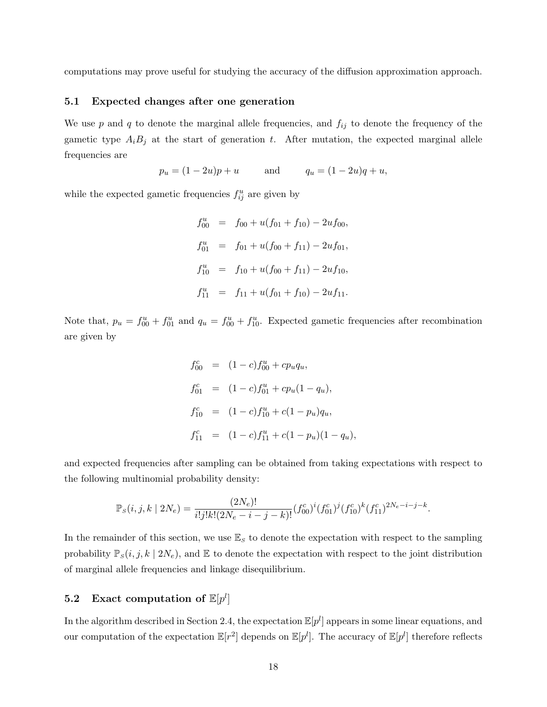computations may prove useful for studying the accuracy of the diffusion approximation approach.

#### 5.1 Expected changes after one generation

We use  $p$  and  $q$  to denote the marginal allele frequencies, and  $f_{ij}$  to denote the frequency of the gametic type  $A_iB_j$  at the start of generation t. After mutation, the expected marginal allele frequencies are

$$
p_u = (1 - 2u)p + u
$$
 and  $q_u = (1 - 2u)q + u$ ,

while the expected gametic frequencies  $f_{ij}^u$  are given by

$$
f_{00}^u = f_{00} + u(f_{01} + f_{10}) - 2uf_{00},
$$
  
\n
$$
f_{01}^u = f_{01} + u(f_{00} + f_{11}) - 2uf_{01},
$$
  
\n
$$
f_{10}^u = f_{10} + u(f_{00} + f_{11}) - 2uf_{10},
$$
  
\n
$$
f_{11}^u = f_{11} + u(f_{01} + f_{10}) - 2uf_{11}.
$$

Note that,  $p_u = f_{00}^u + f_{01}^u$  and  $q_u = f_{00}^u + f_{10}^u$ . Expected gametic frequencies after recombination are given by

$$
f_{00}^c = (1 - c) f_{00}^u + c p_u q_u,
$$
  
\n
$$
f_{01}^c = (1 - c) f_{01}^u + c p_u (1 - q_u),
$$
  
\n
$$
f_{10}^c = (1 - c) f_{10}^u + c (1 - p_u) q_u,
$$
  
\n
$$
f_{11}^c = (1 - c) f_{11}^u + c (1 - p_u) (1 - q_u),
$$

and expected frequencies after sampling can be obtained from taking expectations with respect to the following multinomial probability density:

$$
\mathbb{P}_S(i,j,k \mid 2N_e) = \frac{(2N_e)!}{i!j!k!(2N_e - i - j - k)!} (f_{00}^c)^i (f_{01}^c)^j (f_{10}^c)^k (f_{11}^c)^{2N_e - i - j - k}.
$$

In the remainder of this section, we use  $\mathbb{E}_s$  to denote the expectation with respect to the sampling probability  $\mathbb{P}_S(i, j, k \mid 2N_e)$ , and  $\mathbb E$  to denote the expectation with respect to the joint distribution of marginal allele frequencies and linkage disequilibrium.

# 5.2 Exact computation of  $\mathbb{E}[p^l]$

In the algorithm described in Section 2.4, the expectation  $\mathbb{E}[p^l]$  appears in some linear equations, and our computation of the expectation  $\mathbb{E}[r^2]$  depends on  $\mathbb{E}[p^l]$ . The accuracy of  $\mathbb{E}[p^l]$  therefore reflects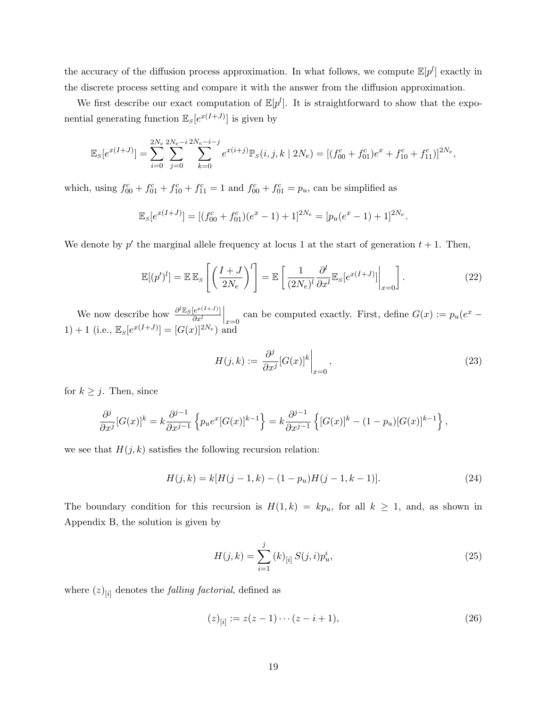the accuracy of the diffusion process approximation. In what follows, we compute  $\mathbb{E}[p^l]$  exactly in the discrete process setting and compare it with the answer from the diffusion approximation.

We first describe our exact computation of  $\mathbb{E}[p^l]$ . It is straightforward to show that the exponential generating function  $\mathbb{E}_S[e^{x(I+J)}]$  is given by

$$
\mathbb{E}_{S}[e^{x(I+J)}] = \sum_{i=0}^{2N_e} \sum_{j=0}^{2N_e - i} \sum_{k=0}^{2N_e - i - j} e^{x(i+j)} \mathbb{P}_{S}(i, j, k \mid 2N_e) = [(f_{00}^c + f_{01}^c)e^x + f_{10}^c + f_{11}^c)]^{2N_e},
$$

which, using  $f_{00}^c + f_{01}^c + f_{10}^c + f_{11}^c = 1$  and  $f_{00}^c + f_{01}^c = p_u$ , can be simplified as

$$
\mathbb{E}_S[e^{x(I+J)}] = [(f_{00}^c + f_{01}^c)(e^x - 1) + 1]^{2N_e} = [p_u(e^x - 1) + 1]^{2N_e}.
$$

We denote by  $p'$  the marginal allele frequency at locus 1 at the start of generation  $t + 1$ . Then,

$$
\mathbb{E}[(p')^l] = \mathbb{E}\,\mathbb{E}_S\left[\left(\frac{I+J}{2N_e}\right)^l\right] = \mathbb{E}\left[\left.\frac{1}{(2N_e)^l}\frac{\partial^l}{\partial x^l}\mathbb{E}_S[e^{x(I+J)}]\right|_{x=0}\right].\tag{22}
$$

We now describe how  $\frac{\partial^l \mathbb{E}_S[e^{x(I+J)}]}{\partial x^l}$  $\overline{\partial x^{l}}$ can be computed exactly. First, define  $G(x) := p_u(e^x -$ 1) + 1 (i.e.,  $\mathbb{E}_S[e^{x(I+J)}] = [G(x)]^{2N_e}$ ) and

$$
H(j,k) := \left. \frac{\partial^j}{\partial x^j} [G(x)]^k \right|_{x=0},\tag{23}
$$

for  $k \geq j$ . Then, since

$$
\frac{\partial^j}{\partial x^j} [G(x)]^k = k \frac{\partial^{j-1}}{\partial x^{j-1}} \left\{ p_u e^x [G(x)]^{k-1} \right\} = k \frac{\partial^{j-1}}{\partial x^{j-1}} \left\{ [G(x)]^k - (1 - p_u) [G(x)]^{k-1} \right\},\,
$$

we see that  $H(j, k)$  satisfies the following recursion relation:

$$
H(j,k) = k[H(j-1,k) - (1-p_u)H(j-1,k-1)].
$$
\n(24)

The boundary condition for this recursion is  $H(1, k) = kp_u$ , for all  $k \ge 1$ , and, as shown in Appendix B, the solution is given by

$$
H(j,k) = \sum_{i=1}^{j} (k)_{[i]} S(j,i) p_u^i,
$$
\n(25)

where  $(z)_{[i]}$  denotes the *falling factorial*, defined as

$$
(z)_{[i]} := z(z-1)\cdots(z-i+1),\tag{26}
$$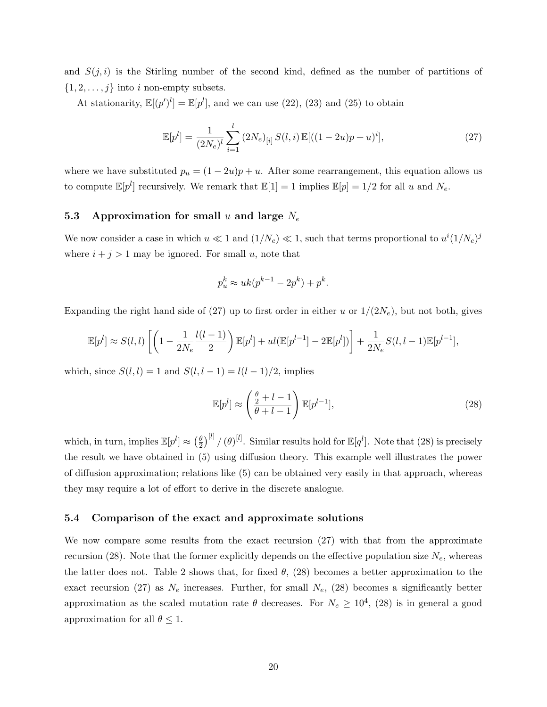and  $S(j, i)$  is the Stirling number of the second kind, defined as the number of partitions of  $\{1, 2, \ldots, j\}$  into i non-empty subsets.

At stationarity,  $\mathbb{E}[(p')^l] = \mathbb{E}[p^l]$ , and we can use (22), (23) and (25) to obtain

$$
\mathbb{E}[p^l] = \frac{1}{(2N_e)^l} \sum_{i=1}^l (2N_e)_{[i]} S(l,i) \mathbb{E}[((1-2u)p+u)^i],\tag{27}
$$

where we have substituted  $p_u = (1 - 2u)p + u$ . After some rearrangement, this equation allows us to compute  $\mathbb{E}[p^l]$  recursively. We remark that  $\mathbb{E}[1] = 1$  implies  $\mathbb{E}[p] = 1/2$  for all u and  $N_e$ .

#### 5.3 Approximation for small u and large  $N_e$

We now consider a case in which  $u \ll 1$  and  $(1/N_e) \ll 1$ , such that terms proportional to  $u^i(1/N_e)^j$ where  $i + j > 1$  may be ignored. For small u, note that

$$
p_u^k \approx uk(p^{k-1} - 2p^k) + p^k.
$$

Expanding the right hand side of (27) up to first order in either u or  $1/(2N_e)$ , but not both, gives

$$
\mathbb{E}[p^l] \approx S(l,l) \left[ \left( 1 - \frac{1}{2N_e} \frac{l(l-1)}{2} \right) \mathbb{E}[p^l] + ul(\mathbb{E}[p^{l-1}] - 2\mathbb{E}[p^l]) \right] + \frac{1}{2N_e} S(l,l-1) \mathbb{E}[p^{l-1}],
$$

which, since  $S(l, l) = 1$  and  $S(l, l - 1) = l(l - 1)/2$ , implies

$$
\mathbb{E}[p^l] \approx \left(\frac{\frac{\theta}{2} + l - 1}{\theta + l - 1}\right) \mathbb{E}[p^{l-1}],\tag{28}
$$

which, in turn, implies  $\mathbb{E}[p^l] \approx \left(\frac{\theta}{2}\right)$  $\frac{\theta}{2}\big)^{[l]}/(\theta)^{[l]}$ . Similar results hold for  $\mathbb{E}[q^l]$ . Note that (28) is precisely the result we have obtained in (5) using diffusion theory. This example well illustrates the power of diffusion approximation; relations like (5) can be obtained very easily in that approach, whereas they may require a lot of effort to derive in the discrete analogue.

#### 5.4 Comparison of the exact and approximate solutions

We now compare some results from the exact recursion (27) with that from the approximate recursion (28). Note that the former explicitly depends on the effective population size  $N_e$ , whereas the latter does not. Table 2 shows that, for fixed  $\theta$ , (28) becomes a better approximation to the exact recursion (27) as  $N_e$  increases. Further, for small  $N_e$ , (28) becomes a significantly better approximation as the scaled mutation rate  $\theta$  decreases. For  $N_e \geq 10^4$ , (28) is in general a good approximation for all  $\theta \leq 1$ .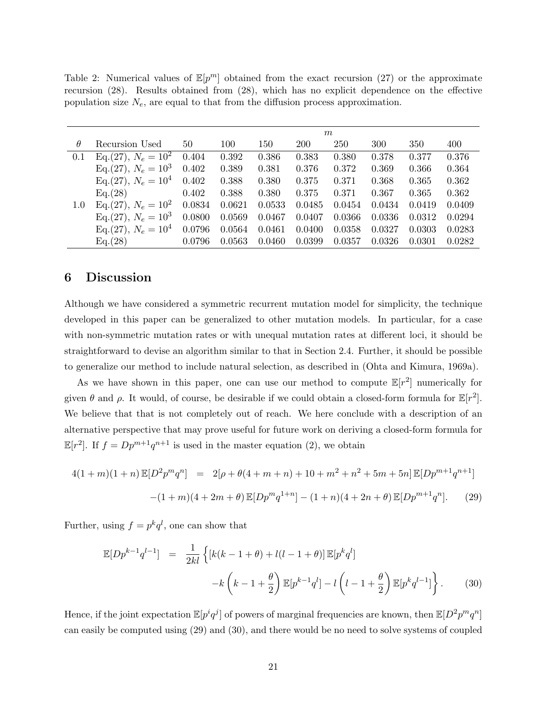Table 2: Numerical values of  $\mathbb{E}[p^m]$  obtained from the exact recursion (27) or the approximate recursion (28). Results obtained from (28), which has no explicit dependence on the effective population size  $N_e$ , are equal to that from the diffusion process approximation.

|          |                        | m      |        |        |            |        |        |        |        |  |  |
|----------|------------------------|--------|--------|--------|------------|--------|--------|--------|--------|--|--|
| $\theta$ | Recursion Used         | 50     | 100    | 150    | <b>200</b> | 250    | 300    | 350    | 400    |  |  |
| 0.1      | $Eq.(27), N_e = 10^2$  | 0.404  | 0.392  | 0.386  | 0.383      | 0.380  | 0.378  | 0.377  | 0.376  |  |  |
|          | Eq. (27), $N_e = 10^3$ | 0.402  | 0.389  | 0.381  | 0.376      | 0.372  | 0.369  | 0.366  | 0.364  |  |  |
|          | Eq.(27), $N_e = 10^4$  | 0.402  | 0.388  | 0.380  | 0.375      | 0.371  | 0.368  | 0.365  | 0.362  |  |  |
|          | Eq.(28)                | 0.402  | 0.388  | 0.380  | 0.375      | 0.371  | 0.367  | 0.365  | 0.362  |  |  |
| 1.0      | Eq. (27), $N_e = 10^2$ | 0.0834 | 0.0621 | 0.0533 | 0.0485     | 0.0454 | 0.0434 | 0.0419 | 0.0409 |  |  |
|          | Eq. (27), $N_e = 10^3$ | 0.0800 | 0.0569 | 0.0467 | 0.0407     | 0.0366 | 0.0336 | 0.0312 | 0.0294 |  |  |
|          | Eq. (27), $N_e = 10^4$ | 0.0796 | 0.0564 | 0.0461 | 0.0400     | 0.0358 | 0.0327 | 0.0303 | 0.0283 |  |  |
|          | Eq.(28)                | 0.0796 | 0.0563 | 0.0460 | 0.0399     | 0.0357 | 0.0326 | 0.0301 | 0.0282 |  |  |

### 6 Discussion

Although we have considered a symmetric recurrent mutation model for simplicity, the technique developed in this paper can be generalized to other mutation models. In particular, for a case with non-symmetric mutation rates or with unequal mutation rates at different loci, it should be straightforward to devise an algorithm similar to that in Section 2.4. Further, it should be possible to generalize our method to include natural selection, as described in (Ohta and Kimura, 1969a).

As we have shown in this paper, one can use our method to compute  $\mathbb{E}[r^2]$  numerically for given  $\theta$  and  $\rho$ . It would, of course, be desirable if we could obtain a closed-form formula for  $\mathbb{E}[r^2]$ . We believe that that is not completely out of reach. We here conclude with a description of an alternative perspective that may prove useful for future work on deriving a closed-form formula for  $\mathbb{E}[r^2]$ . If  $f = Dp^{m+1}q^{n+1}$  is used in the master equation (2), we obtain

$$
4(1+m)(1+n)\mathbb{E}[D^2p^mq^n] = 2[\rho + \theta(4+m+n) + 10 + m^2 + n^2 + 5m + 5n]\mathbb{E}[Dp^{m+1}q^{n+1}]
$$

$$
-(1+m)(4+2m+\theta)\mathbb{E}[Dp^mq^{1+n}] - (1+n)(4+2n+\theta)\mathbb{E}[Dp^{m+1}q^n].
$$
 (29)

Further, using  $f = p^k q^l$ , one can show that

$$
\mathbb{E}[Dp^{k-1}q^{l-1}] = \frac{1}{2kl} \left\{ \left[ k(k-1+\theta) + l(l-1+\theta) \right] \mathbb{E}[p^k q^l] - k \left( k-1+\frac{\theta}{2} \right) \mathbb{E}[p^{k-1}q^l] - l \left( l-1+\frac{\theta}{2} \right) \mathbb{E}[p^k q^{l-1}] \right\}.
$$
 (30)

Hence, if the joint expectation  $\mathbb{E}[p^iq^j]$  of powers of marginal frequencies are known, then  $\mathbb{E}[D^2p^mq^n]$ can easily be computed using (29) and (30), and there would be no need to solve systems of coupled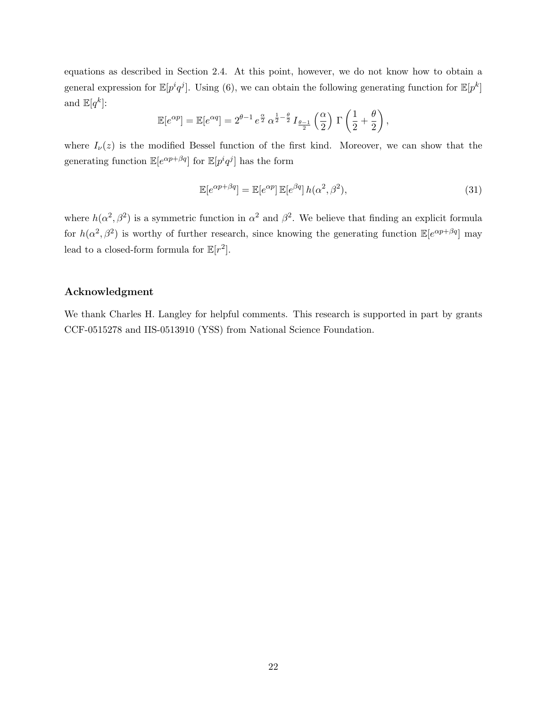equations as described in Section 2.4. At this point, however, we do not know how to obtain a general expression for  $\mathbb{E}[p^iq^j]$ . Using (6), we can obtain the following generating function for  $\mathbb{E}[p^k]$ and  $\mathbb{E}[q^k]$ :

$$
\mathbb{E}[e^{\alpha p}] = \mathbb{E}[e^{\alpha q}] = 2^{\theta - 1} e^{\frac{\alpha}{2}} \alpha^{\frac{1}{2} - \frac{\theta}{2}} I_{\frac{\theta - 1}{2}}\left(\frac{\alpha}{2}\right) \Gamma\left(\frac{1}{2} + \frac{\theta}{2}\right),
$$

where  $I_{\nu}(z)$  is the modified Bessel function of the first kind. Moreover, we can show that the generating function  $\mathbb{E}[e^{\alpha p+\beta q}]$  for  $\mathbb{E}[p^iq^j]$  has the form

$$
\mathbb{E}[e^{\alpha p + \beta q}] = \mathbb{E}[e^{\alpha p}] \mathbb{E}[e^{\beta q}] h(\alpha^2, \beta^2), \tag{31}
$$

where  $h(\alpha^2, \beta^2)$  is a symmetric function in  $\alpha^2$  and  $\beta^2$ . We believe that finding an explicit formula for  $h(\alpha^2, \beta^2)$  is worthy of further research, since knowing the generating function  $\mathbb{E}[e^{\alpha p+\beta q}]$  may lead to a closed-form formula for  $\mathbb{E}[r^2]$ .

#### Acknowledgment

We thank Charles H. Langley for helpful comments. This research is supported in part by grants CCF-0515278 and IIS-0513910 (YSS) from National Science Foundation.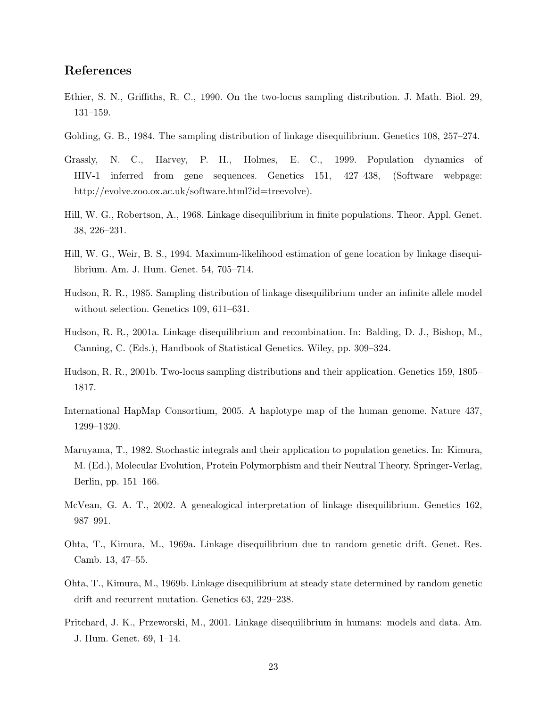### References

- Ethier, S. N., Griffiths, R. C., 1990. On the two-locus sampling distribution. J. Math. Biol. 29, 131–159.
- Golding, G. B., 1984. The sampling distribution of linkage disequilibrium. Genetics 108, 257–274.
- Grassly, N. C., Harvey, P. H., Holmes, E. C., 1999. Population dynamics of HIV-1 inferred from gene sequences. Genetics 151, 427–438, (Software webpage: http://evolve.zoo.ox.ac.uk/software.html?id=treevolve).
- Hill, W. G., Robertson, A., 1968. Linkage disequilibrium in finite populations. Theor. Appl. Genet. 38, 226–231.
- Hill, W. G., Weir, B. S., 1994. Maximum-likelihood estimation of gene location by linkage disequilibrium. Am. J. Hum. Genet. 54, 705–714.
- Hudson, R. R., 1985. Sampling distribution of linkage disequilibrium under an infinite allele model without selection. Genetics 109, 611–631.
- Hudson, R. R., 2001a. Linkage disequilibrium and recombination. In: Balding, D. J., Bishop, M., Canning, C. (Eds.), Handbook of Statistical Genetics. Wiley, pp. 309–324.
- Hudson, R. R., 2001b. Two-locus sampling distributions and their application. Genetics 159, 1805– 1817.
- International HapMap Consortium, 2005. A haplotype map of the human genome. Nature 437, 1299–1320.
- Maruyama, T., 1982. Stochastic integrals and their application to population genetics. In: Kimura, M. (Ed.), Molecular Evolution, Protein Polymorphism and their Neutral Theory. Springer-Verlag, Berlin, pp. 151–166.
- McVean, G. A. T., 2002. A genealogical interpretation of linkage disequilibrium. Genetics 162, 987–991.
- Ohta, T., Kimura, M., 1969a. Linkage disequilibrium due to random genetic drift. Genet. Res. Camb. 13, 47–55.
- Ohta, T., Kimura, M., 1969b. Linkage disequilibrium at steady state determined by random genetic drift and recurrent mutation. Genetics 63, 229–238.
- Pritchard, J. K., Przeworski, M., 2001. Linkage disequilibrium in humans: models and data. Am. J. Hum. Genet. 69, 1–14.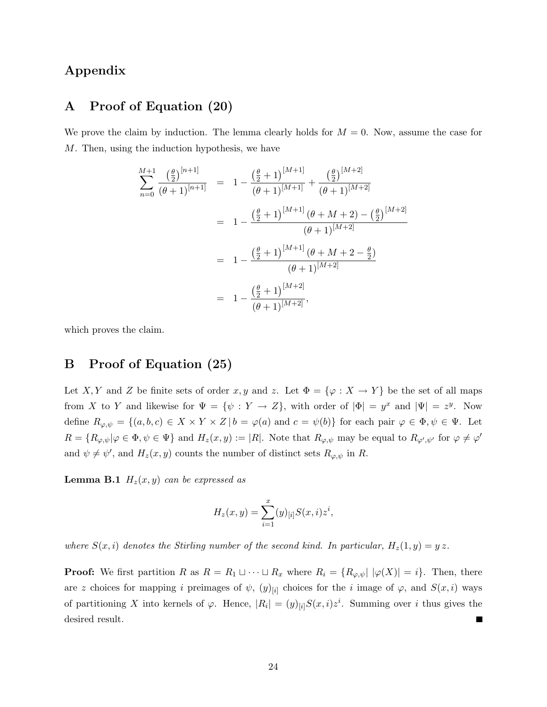# Appendix

### A Proof of Equation (20)

We prove the claim by induction. The lemma clearly holds for  $M = 0$ . Now, assume the case for M. Then, using the induction hypothesis, we have

$$
\sum_{n=0}^{M+1} \frac{\left(\frac{\theta}{2}\right)^{[n+1]}}{(\theta+1)^{[n+1]}} = 1 - \frac{\left(\frac{\theta}{2}+1\right)^{[M+1]}}{(\theta+1)^{[M+1]}} + \frac{\left(\frac{\theta}{2}\right)^{[M+2]}}{(\theta+1)^{[M+2]}}
$$
  

$$
= 1 - \frac{\left(\frac{\theta}{2}+1\right)^{[M+1]}(\theta+M+2) - \left(\frac{\theta}{2}\right)^{[M+2]}}{(\theta+1)^{[M+2]}}
$$
  

$$
= 1 - \frac{\left(\frac{\theta}{2}+1\right)^{[M+1]}(\theta+M+2-\frac{\theta}{2})}{(\theta+1)^{[M+2]}}
$$
  

$$
= 1 - \frac{\left(\frac{\theta}{2}+1\right)^{[M+2]}}{(\theta+1)^{[M+2]}},
$$

which proves the claim.

# B Proof of Equation (25)

Let X, Y and Z be finite sets of order x, y and z. Let  $\Phi = {\varphi : X \to Y}$  be the set of all maps from X to Y and likewise for  $\Psi = {\psi : Y \to Z}$ , with order of  $|\Phi| = y^x$  and  $|\Psi| = z^y$ . Now define  $R_{\varphi,\psi} = \{(a,b,c) \in X \times Y \times Z \mid b = \varphi(a) \text{ and } c = \psi(b)\}\$ for each pair  $\varphi \in \Phi, \psi \in \Psi$ . Let  $R = \{R_{\varphi,\psi} | \varphi \in \Phi, \psi \in \Psi\}$  and  $H_z(x,y) := |R|$ . Note that  $R_{\varphi,\psi}$  may be equal to  $R_{\varphi',\psi'}$  for  $\varphi \neq \varphi'$ and  $\psi \neq \psi'$ , and  $H_z(x, y)$  counts the number of distinct sets  $R_{\varphi, \psi}$  in R.

**Lemma B.1**  $H_z(x, y)$  can be expressed as

$$
H_z(x, y) = \sum_{i=1}^{x} (y)_{[i]} S(x, i) z^i,
$$

where  $S(x, i)$  denotes the Stirling number of the second kind. In particular,  $H_z(1, y) = yz$ .

**Proof:** We first partition R as  $R = R_1 \sqcup \cdots \sqcup R_x$  where  $R_i = \{R_{\varphi,\psi} | |\varphi(X)| = i\}$ . Then, there are z choices for mapping i preimages of  $\psi$ ,  $(y)_{[i]}$  choices for the i image of  $\varphi$ , and  $S(x, i)$  ways of partitioning X into kernels of  $\varphi$ . Hence,  $|R_i| = (y)_{[i]}S(x,i)z^i$ . Summing over i thus gives the desired result.